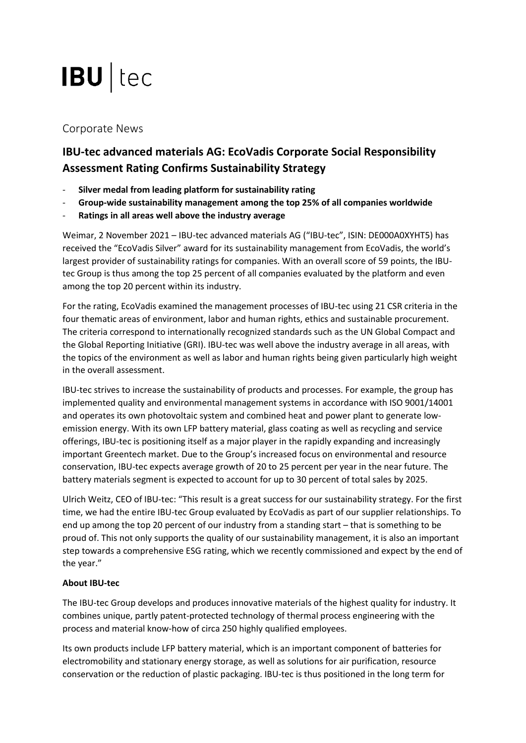# **IBU** tec

# Corporate News

# **IBU-tec advanced materials AG: EcoVadis Corporate Social Responsibility Assessment Rating Confirms Sustainability Strategy**

- **Silver medal from leading platform for sustainability rating**
- **Group-wide sustainability management among the top 25% of all companies worldwide**
- **Ratings in all areas well above the industry average**

Weimar, 2 November 2021 – IBU-tec advanced materials AG ("IBU-tec", ISIN: DE000A0XYHT5) has received the "EcoVadis Silver" award for its sustainability management from EcoVadis, the world's largest provider of sustainability ratings for companies. With an overall score of 59 points, the IBUtec Group is thus among the top 25 percent of all companies evaluated by the platform and even among the top 20 percent within its industry.

For the rating, EcoVadis examined the management processes of IBU-tec using 21 CSR criteria in the four thematic areas of environment, labor and human rights, ethics and sustainable procurement. The criteria correspond to internationally recognized standards such as the UN Global Compact and the Global Reporting Initiative (GRI). IBU-tec was well above the industry average in all areas, with the topics of the environment as well as labor and human rights being given particularly high weight in the overall assessment.

IBU-tec strives to increase the sustainability of products and processes. For example, the group has implemented quality and environmental management systems in accordance with ISO 9001/14001 and operates its own photovoltaic system and combined heat and power plant to generate lowemission energy. With its own LFP battery material, glass coating as well as recycling and service offerings, IBU-tec is positioning itself as a major player in the rapidly expanding and increasingly important Greentech market. Due to the Group's increased focus on environmental and resource conservation, IBU-tec expects average growth of 20 to 25 percent per year in the near future. The battery materials segment is expected to account for up to 30 percent of total sales by 2025.

Ulrich Weitz, CEO of IBU-tec: "This result is a great success for our sustainability strategy. For the first time, we had the entire IBU-tec Group evaluated by EcoVadis as part of our supplier relationships. To end up among the top 20 percent of our industry from a standing start – that is something to be proud of. This not only supports the quality of our sustainability management, it is also an important step towards a comprehensive ESG rating, which we recently commissioned and expect by the end of the year."

## **About IBU-tec**

The IBU-tec Group develops and produces innovative materials of the highest quality for industry. It combines unique, partly patent-protected technology of thermal process engineering with the process and material know-how of circa 250 highly qualified employees.

Its own products include LFP battery material, which is an important component of batteries for electromobility and stationary energy storage, as well as solutions for air purification, resource conservation or the reduction of plastic packaging. IBU-tec is thus positioned in the long term for